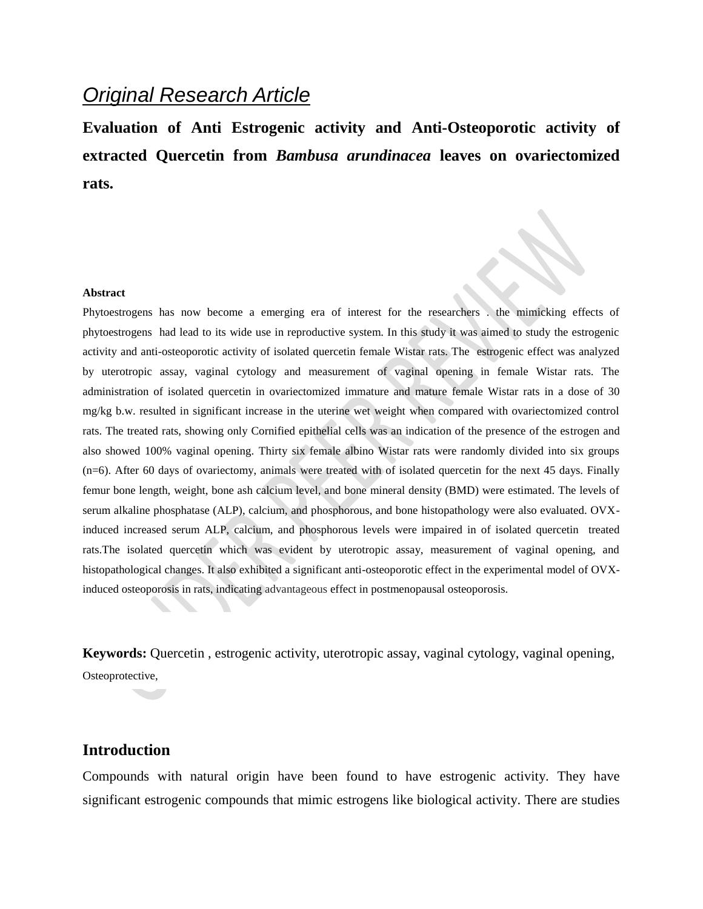## *Original Research Article*

**Evaluation of Anti Estrogenic activity and Anti-Osteoporotic activity of extracted Quercetin from** *Bambusa arundinacea* **leaves on ovariectomized rats.**

#### **Abstract**

Phytoestrogens has now become a emerging era of interest for the researchers . the mimicking effects of phytoestrogens had lead to its wide use in reproductive system. In this study it was aimed to study the estrogenic activity and anti-osteoporotic activity of isolated quercetin female Wistar rats. The estrogenic effect was analyzed by uterotropic assay, vaginal cytology and measurement of vaginal opening in female Wistar rats. The administration of isolated quercetin in ovariectomized immature and mature female Wistar rats in a dose of 30 mg/kg b.w. resulted in significant increase in the uterine wet weight when compared with ovariectomized control rats. The treated rats, showing only Cornified epithelial cells was an indication of the presence of the estrogen and also showed 100% vaginal opening. Thirty six female albino Wistar rats were randomly divided into six groups (n=6). After 60 days of ovariectomy, animals were treated with of isolated quercetin for the next 45 days. Finally femur bone length, weight, bone ash calcium level, and bone mineral density (BMD) were estimated. The levels of serum alkaline phosphatase (ALP), calcium, and phosphorous, and bone histopathology were also evaluated. OVXinduced increased serum ALP, calcium, and phosphorous levels were impaired in of isolated quercetin treated rats.The isolated quercetin which was evident by uterotropic assay, measurement of vaginal opening, and histopathological changes. It also exhibited a significant anti-osteoporotic effect in the experimental model of OVXinduced osteoporosis in rats, indicating advantageous effect in postmenopausal osteoporosis.

**Keywords:** Quercetin , estrogenic activity, uterotropic assay, vaginal cytology, vaginal opening, Osteoprotective,

## **Introduction**

Compounds with natural origin have been found to have estrogenic activity. They have significant estrogenic compounds that mimic estrogens like biological activity. There are studies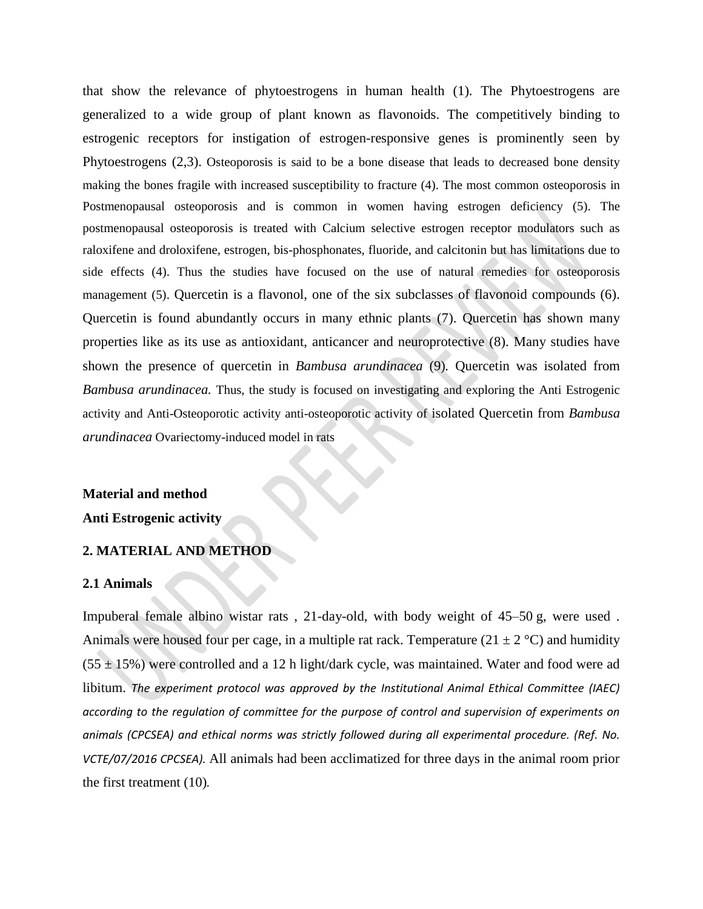that show the relevance of phytoestrogens in human health (1). The Phytoestrogens are generalized to a wide group of plant known as flavonoids. The competitively binding to estrogenic receptors for instigation of estrogen-responsive genes is prominently seen by Phytoestrogens (2,3). Osteoporosis is said to be a bone disease that leads to decreased bone density making the bones fragile with increased susceptibility to fracture (4). The most common osteoporosis in Postmenopausal osteoporosis and is common in women having estrogen deficiency (5). The postmenopausal osteoporosis is treated with Calcium selective estrogen receptor modulators such as raloxifene and droloxifene, estrogen, bis-phosphonates, fluoride, and calcitonin but has limitations due to side effects (4). Thus the studies have focused on the use of natural remedies for osteoporosis management (5). Quercetin is a flavonol, one of the six subclasses of flavonoid compounds (6). Quercetin is found abundantly occurs in many ethnic plants (7). Quercetin has shown many properties like as its use as antioxidant, anticancer and neuroprotective (8). Many studies have shown the presence of quercetin in *Bambusa arundinacea* (9)*.* Quercetin was isolated from *Bambusa arundinacea.* Thus, the study is focused on investigating and exploring the Anti Estrogenic activity and Anti-Osteoporotic activity anti-osteoporotic activity of isolated Quercetin from *Bambusa arundinacea* Ovariectomy-induced model in rats

# **Material and method**

**Anti Estrogenic activity**

## **2. MATERIAL AND METHOD**

#### **2.1 Animals**

Impuberal female albino wistar rats , 21-day-old, with body weight of 45–50 g, were used . Animals were housed four per cage, in a multiple rat rack. Temperature  $(21 \pm 2 \degree C)$  and humidity  $(55 \pm 15%)$  were controlled and a 12 h light/dark cycle, was maintained. Water and food were ad libitum. *The experiment protocol was approved by the Institutional Animal Ethical Committee (IAEC) according to the regulation of committee for the purpose of control and supervision of experiments on animals (CPCSEA) and ethical norms was strictly followed during all experimental procedure. (Ref. No. VCTE/07/2016 CPCSEA).* All animals had been acclimatized for three days in the animal room prior the first treatment (10)*.*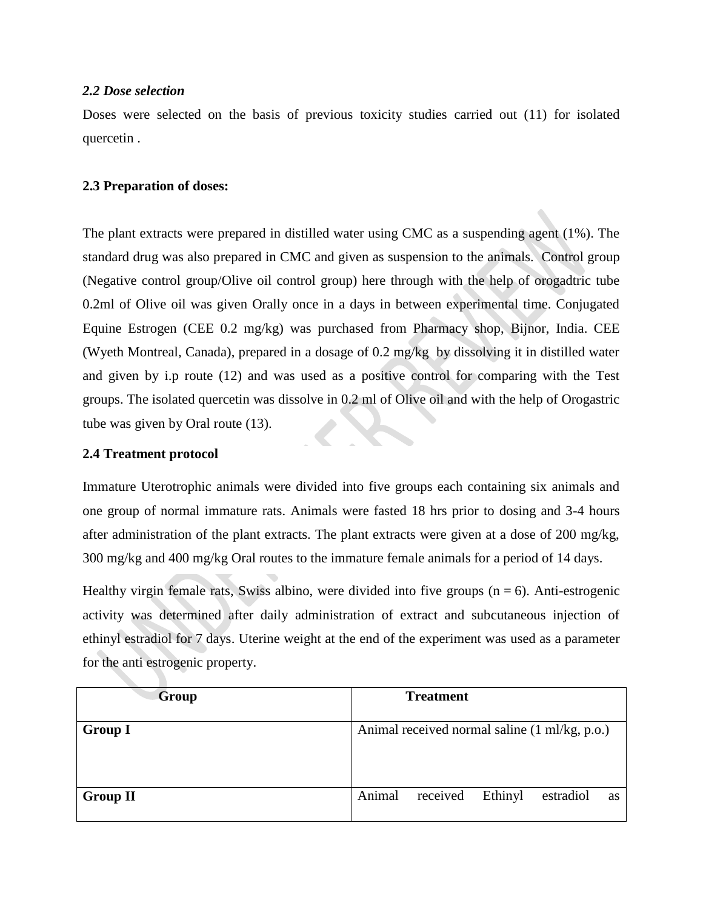## *2.2 Dose selection*

Doses were selected on the basis of previous toxicity studies carried out (11) for isolated quercetin .

## **2.3 Preparation of doses:**

The plant extracts were prepared in distilled water using CMC as a suspending agent (1%). The standard drug was also prepared in CMC and given as suspension to the animals. Control group (Negative control group/Olive oil control group) here through with the help of orogadtric tube 0.2ml of Olive oil was given Orally once in a days in between experimental time. Conjugated Equine Estrogen (CEE 0.2 mg/kg) was purchased from Pharmacy shop, Bijnor, India. CEE (Wyeth Montreal, Canada), prepared in a dosage of 0.2 mg/kg by dissolving it in distilled water and given by i.p route (12) and was used as a positive control for comparing with the Test groups. The isolated quercetin was dissolve in 0.2 ml of Olive oil and with the help of Orogastric tube was given by Oral route (13).

## **2.4 Treatment protocol**

Immature Uterotrophic animals were divided into five groups each containing six animals and one group of normal immature rats. Animals were fasted 18 hrs prior to dosing and 3-4 hours after administration of the plant extracts. The plant extracts were given at a dose of 200 mg/kg, 300 mg/kg and 400 mg/kg Oral routes to the immature female animals for a period of 14 days.

Healthy virgin female rats, Swiss albino, were divided into five groups  $(n = 6)$ . Anti-estrogenic activity was determined after daily administration of extract and subcutaneous injection of ethinyl estradiol for 7 days. Uterine weight at the end of the experiment was used as a parameter for the anti estrogenic property.

| Group           | <b>Treatment</b>                                 |  |  |
|-----------------|--------------------------------------------------|--|--|
| <b>Group I</b>  | Animal received normal saline (1 ml/kg, p.o.)    |  |  |
| <b>Group II</b> | Animal<br>received<br>Ethinyl<br>estradiol<br>as |  |  |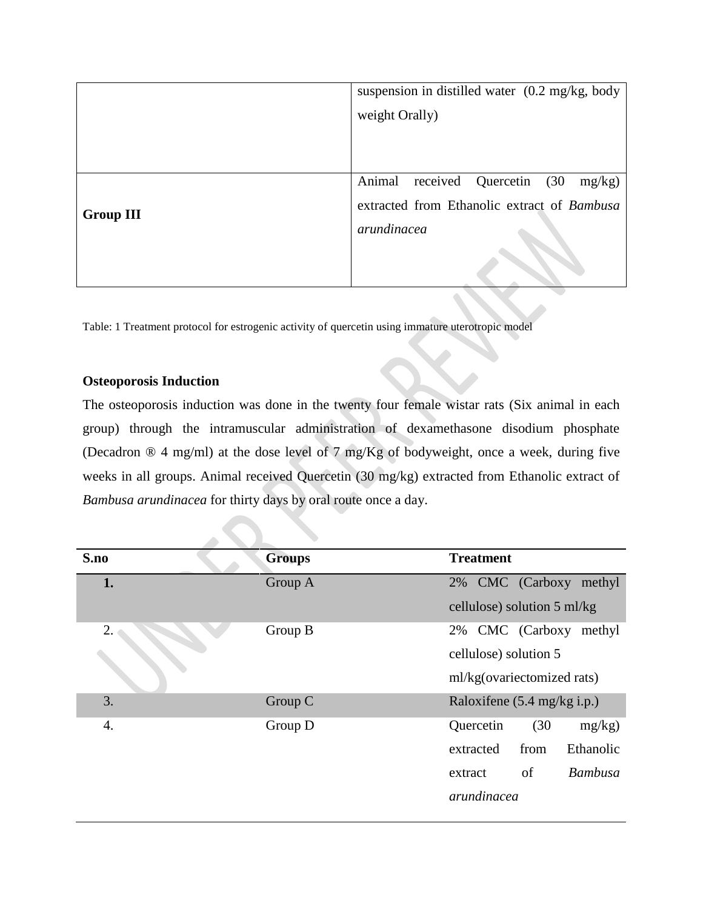|                  | suspension in distilled water (0.2 mg/kg, body |  |  |
|------------------|------------------------------------------------|--|--|
|                  | weight Orally)                                 |  |  |
|                  |                                                |  |  |
|                  |                                                |  |  |
|                  | received Quercetin (30<br>Animal<br>$mg/kg$ )  |  |  |
| <b>Group III</b> | extracted from Ethanolic extract of Bambusa    |  |  |
|                  | arundinacea                                    |  |  |
|                  |                                                |  |  |
|                  |                                                |  |  |

Table: 1 Treatment protocol for estrogenic activity of quercetin using immature uterotropic model

## **Osteoporosis Induction**

The osteoporosis induction was done in the twenty four female wistar rats (Six animal in each group) through the intramuscular administration of dexamethasone disodium phosphate (Decadron ® 4 mg/ml) at the dose level of 7 mg/Kg of bodyweight, once a week, during five weeks in all groups. Animal received Quercetin (30 mg/kg) extracted from Ethanolic extract of *Bambusa arundinacea* for thirty days by oral route once a day.

| S.no | <b>Groups</b> | <b>Treatment</b>                      |  |
|------|---------------|---------------------------------------|--|
| 1.   | Group A       | 2% CMC (Carboxy methyl                |  |
|      |               | cellulose) solution 5 ml/kg           |  |
| 2.   | Group B       | 2% CMC (Carboxy<br>methyl             |  |
|      |               | cellulose) solution 5                 |  |
|      |               | ml/kg(ovariectomized rats)            |  |
| 3.   | Group C       | Raloxifene $(5.4 \text{ mg/kg} i.p.)$ |  |
| 4.   | Group D       | (30)<br>Quercetin<br>mg/kg)           |  |
|      |               | Ethanolic<br>from<br>extracted        |  |
|      |               | of<br><b>Bambusa</b><br>extract       |  |
|      |               | arundinacea                           |  |
|      |               |                                       |  |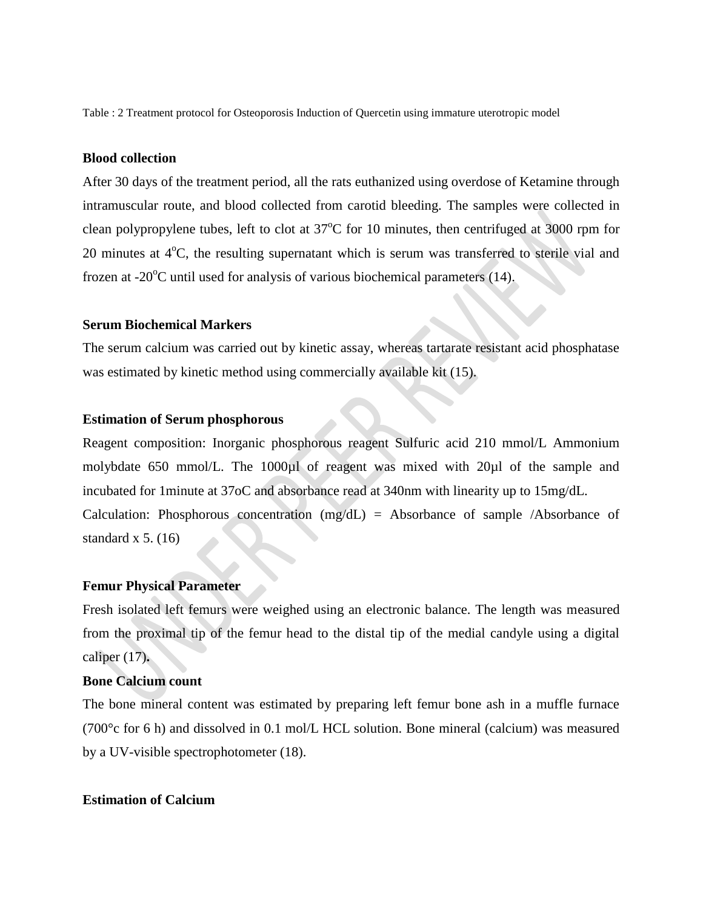Table : 2 Treatment protocol for Osteoporosis Induction of Quercetin using immature uterotropic model

## **Blood collection**

After 30 days of the treatment period, all the rats euthanized using overdose of Ketamine through intramuscular route, and blood collected from carotid bleeding. The samples were collected in clean polypropylene tubes, left to clot at  $37^{\circ}$ C for 10 minutes, then centrifuged at 3000 rpm for 20 minutes at  $4^{\circ}$ C, the resulting supernatant which is serum was transferred to sterile vial and frozen at -20 $\degree$ C until used for analysis of various biochemical parameters (14).

#### **Serum Biochemical Markers**

The serum calcium was carried out by kinetic assay, whereas tartarate resistant acid phosphatase was estimated by kinetic method using commercially available kit (15).

#### **Estimation of Serum phosphorous**

Reagent composition: Inorganic phosphorous reagent Sulfuric acid 210 mmol/L Ammonium molybdate 650 mmol/L. The 1000µl of reagent was mixed with 20µl of the sample and incubated for 1minute at 37oC and absorbance read at 340nm with linearity up to 15mg/dL. Calculation: Phosphorous concentration  $(mg/dL)$  = Absorbance of sample /Absorbance of standard x  $5. (16)$ 

#### **Femur Physical Parameter**

Fresh isolated left femurs were weighed using an electronic balance. The length was measured from the proximal tip of the femur head to the distal tip of the medial candyle using a digital caliper (17)**.**

### **Bone Calcium count**

The bone mineral content was estimated by preparing left femur bone ash in a muffle furnace (700°c for 6 h) and dissolved in 0.1 mol/L HCL solution. Bone mineral (calcium) was measured by a UV-visible spectrophotometer (18).

#### **Estimation of Calcium**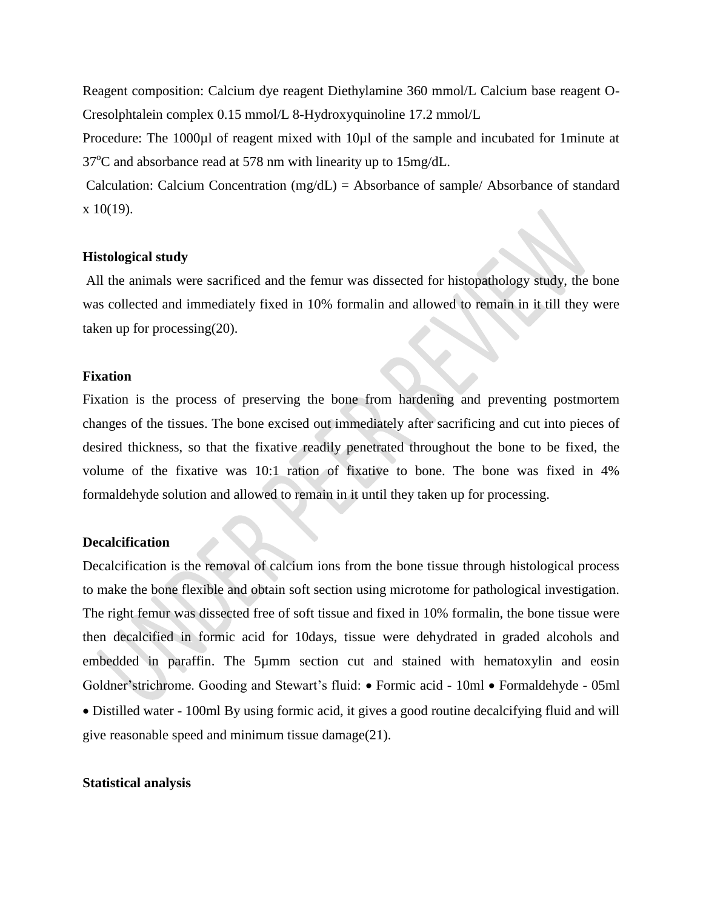Reagent composition: Calcium dye reagent Diethylamine 360 mmol/L Calcium base reagent O-Cresolphtalein complex 0.15 mmol/L 8-Hydroxyquinoline 17.2 mmol/L

Procedure: The 1000µl of reagent mixed with 10µl of the sample and incubated for 1minute at  $37^{\circ}$ C and absorbance read at 578 nm with linearity up to 15mg/dL.

Calculation: Calcium Concentration (mg/dL) = Absorbance of sample/ Absorbance of standard  $x 10(19)$ .

#### **Histological study**

All the animals were sacrificed and the femur was dissected for histopathology study, the bone was collected and immediately fixed in 10% formalin and allowed to remain in it till they were taken up for processing(20).

#### **Fixation**

Fixation is the process of preserving the bone from hardening and preventing postmortem changes of the tissues. The bone excised out immediately after sacrificing and cut into pieces of desired thickness, so that the fixative readily penetrated throughout the bone to be fixed, the volume of the fixative was 10:1 ration of fixative to bone. The bone was fixed in 4% formaldehyde solution and allowed to remain in it until they taken up for processing.

#### **Decalcification**

Decalcification is the removal of calcium ions from the bone tissue through histological process to make the bone flexible and obtain soft section using microtome for pathological investigation. The right femur was dissected free of soft tissue and fixed in 10% formalin, the bone tissue were then decalcified in formic acid for 10days, tissue were dehydrated in graded alcohols and embedded in paraffin. The 5µmm section cut and stained with hematoxylin and eosin Goldner'strichrome. Gooding and Stewart's fluid: • Formic acid - 10ml • Formaldehyde - 05ml Distilled water - 100ml By using formic acid, it gives a good routine decalcifying fluid and will give reasonable speed and minimum tissue damage(21).

#### **Statistical analysis**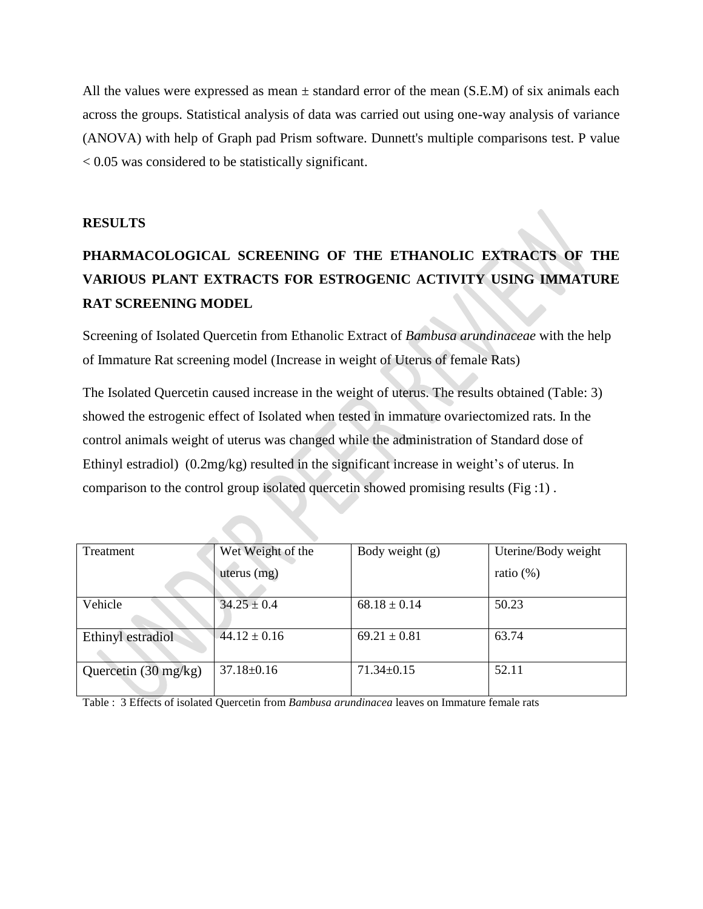All the values were expressed as mean  $\pm$  standard error of the mean (S.E.M) of six animals each across the groups. Statistical analysis of data was carried out using one-way analysis of variance (ANOVA) with help of Graph pad Prism software. Dunnett's multiple comparisons test. P value < 0.05 was considered to be statistically significant.

## **RESULTS**

# **PHARMACOLOGICAL SCREENING OF THE ETHANOLIC EXTRACTS OF THE VARIOUS PLANT EXTRACTS FOR ESTROGENIC ACTIVITY USING IMMATURE RAT SCREENING MODEL**

Screening of Isolated Quercetin from Ethanolic Extract of *Bambusa arundinaceae* with the help of Immature Rat screening model (Increase in weight of Uterus of female Rats)

The Isolated Quercetin caused increase in the weight of uterus. The results obtained (Table: 3) showed the estrogenic effect of Isolated when tested in immature ovariectomized rats. In the control animals weight of uterus was changed while the administration of Standard dose of Ethinyl estradiol) (0.2mg/kg) resulted in the significant increase in weight's of uterus. In comparison to the control group isolated quercetin showed promising results (Fig :1) .

| Treatment                      | Wet Weight of the | Body weight (g)  | Uterine/Body weight |
|--------------------------------|-------------------|------------------|---------------------|
|                                | uterus $(mg)$     |                  | ratio $(\%)$        |
| Vehicle                        | $34.25 \pm 0.4$   | $68.18 \pm 0.14$ | 50.23               |
| Ethinyl estradiol              | $44.12 \pm 0.16$  | $69.21 \pm 0.81$ | 63.74               |
| Quercetin $(30 \text{ mg/kg})$ | $37.18 \pm 0.16$  | $71.34 \pm 0.15$ | 52.11               |

Table : 3 Effects of isolated Quercetin from *Bambusa arundinacea* leaves on Immature female rats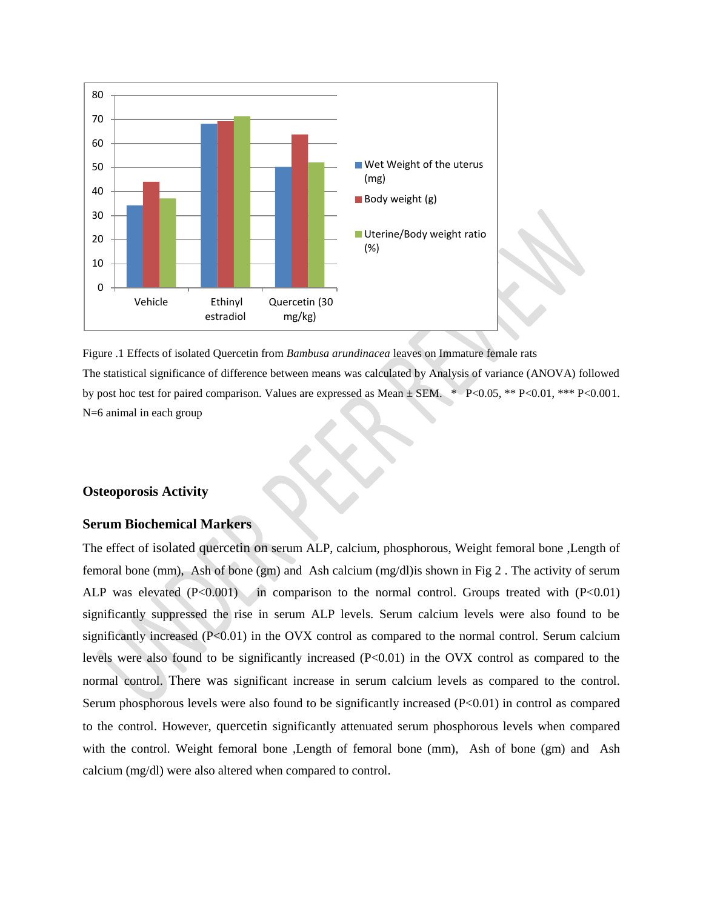



#### **Osteoporosis Activity**

#### **Serum Biochemical Markers**

The effect of isolated quercetin on serum ALP, calcium, phosphorous, Weight femoral bone ,Length of femoral bone (mm), Ash of bone (gm) and Ash calcium (mg/dl)is shown in Fig 2 . The activity of serum ALP was elevated  $(P<0.001)$  in comparison to the normal control. Groups treated with  $(P<0.01)$ significantly suppressed the rise in serum ALP levels. Serum calcium levels were also found to be significantly increased (P<0.01) in the OVX control as compared to the normal control. Serum calcium levels were also found to be significantly increased (P<0.01) in the OVX control as compared to the normal control. There was significant increase in serum calcium levels as compared to the control. Serum phosphorous levels were also found to be significantly increased (P<0.01) in control as compared to the control. However, quercetin significantly attenuated serum phosphorous levels when compared with the control. Weight femoral bone, Length of femoral bone (mm), Ash of bone (gm) and Ash calcium (mg/dl) were also altered when compared to control.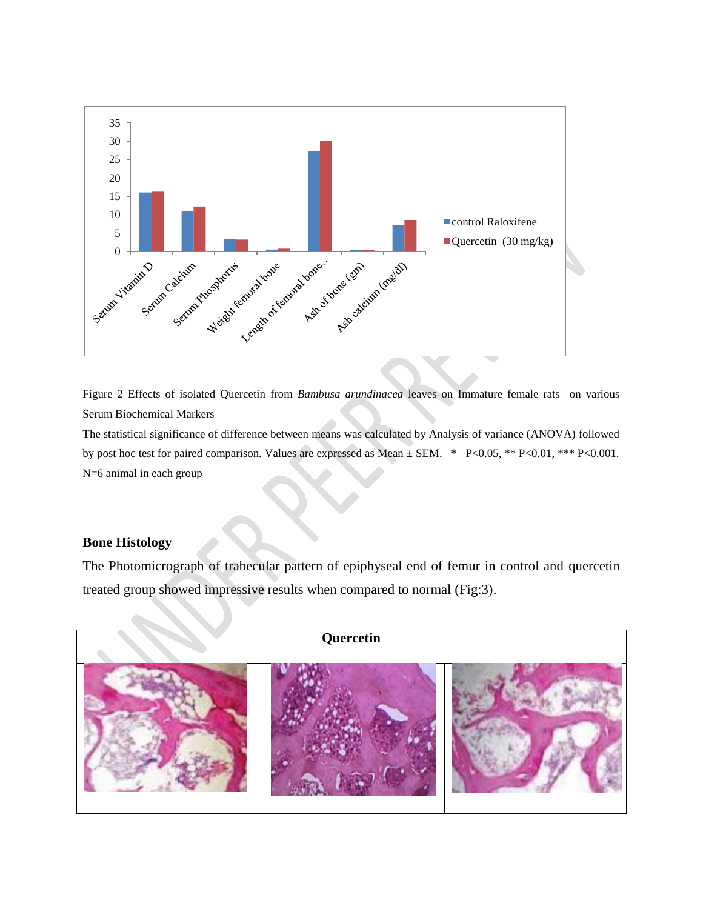

Figure 2 Effects of isolated Quercetin from *Bambusa arundinacea* leaves on Immature female rats on various Serum Biochemical Markers

The statistical significance of difference between means was calculated by Analysis of variance (ANOVA) followed by post hoc test for paired comparison. Values are expressed as Mean ± SEM. \* P<0.05, \*\* P<0.01, \*\*\* P<0.001. N=6 animal in each group

## **Bone Histology**

The Photomicrograph of trabecular pattern of epiphyseal end of femur in control and quercetin treated group showed impressive results when compared to normal (Fig:3).

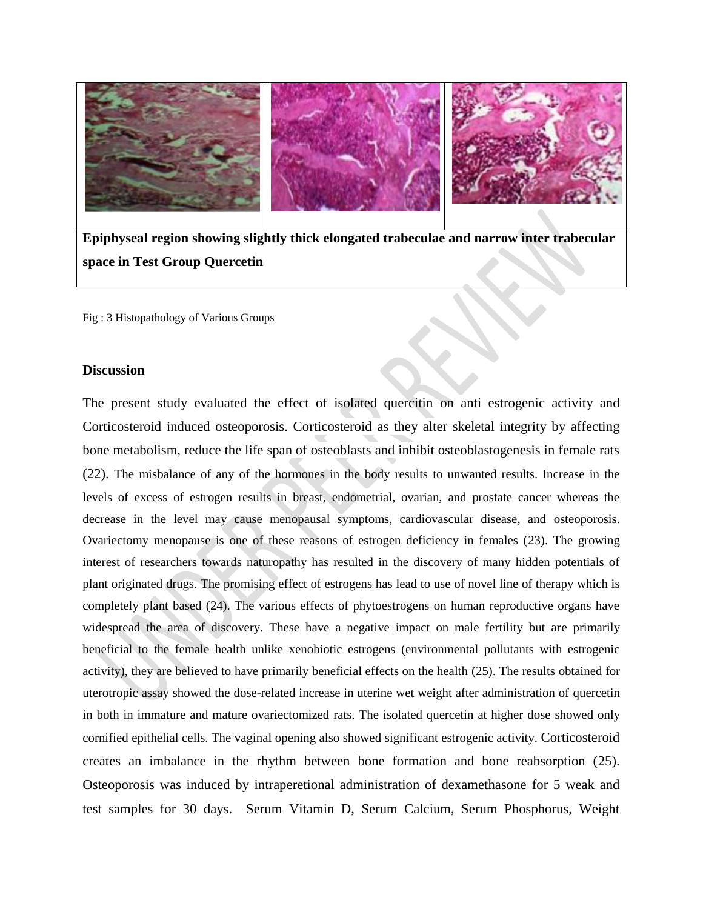

**Epiphyseal region showing slightly thick elongated trabeculae and narrow inter trabecular space in Test Group Quercetin** 

Fig : 3 Histopathology of Various Groups

#### **Discussion**

The present study evaluated the effect of isolated quercitin on anti estrogenic activity and Corticosteroid induced osteoporosis. Corticosteroid as they alter skeletal integrity by affecting bone metabolism, reduce the life span of osteoblasts and inhibit osteoblastogenesis in female rats (22). The misbalance of any of the hormones in the body results to unwanted results. Increase in the levels of excess of estrogen results in breast, endometrial, ovarian, and prostate cancer whereas the decrease in the level may cause menopausal symptoms, cardiovascular disease, and osteoporosis. Ovariectomy menopause is one of these reasons of estrogen deficiency in females (23). The growing interest of researchers towards naturopathy has resulted in the discovery of many hidden potentials of plant originated drugs. The promising effect of estrogens has lead to use of novel line of therapy which is completely plant based (24). The various effects of phytoestrogens on human reproductive organs have widespread the area of discovery. These have a negative impact on male fertility but are primarily beneficial to the female health unlike xenobiotic estrogens (environmental pollutants with estrogenic activity), they are believed to have primarily beneficial effects on the health (25). The results obtained for uterotropic assay showed the dose-related increase in uterine wet weight after administration of quercetin in both in immature and mature ovariectomized rats. The isolated quercetin at higher dose showed only cornified epithelial cells. The vaginal opening also showed significant estrogenic activity. Corticosteroid creates an imbalance in the rhythm between bone formation and bone reabsorption (25). Osteoporosis was induced by intraperetional administration of dexamethasone for 5 weak and test samples for 30 days. Serum Vitamin D, Serum Calcium, Serum Phosphorus, Weight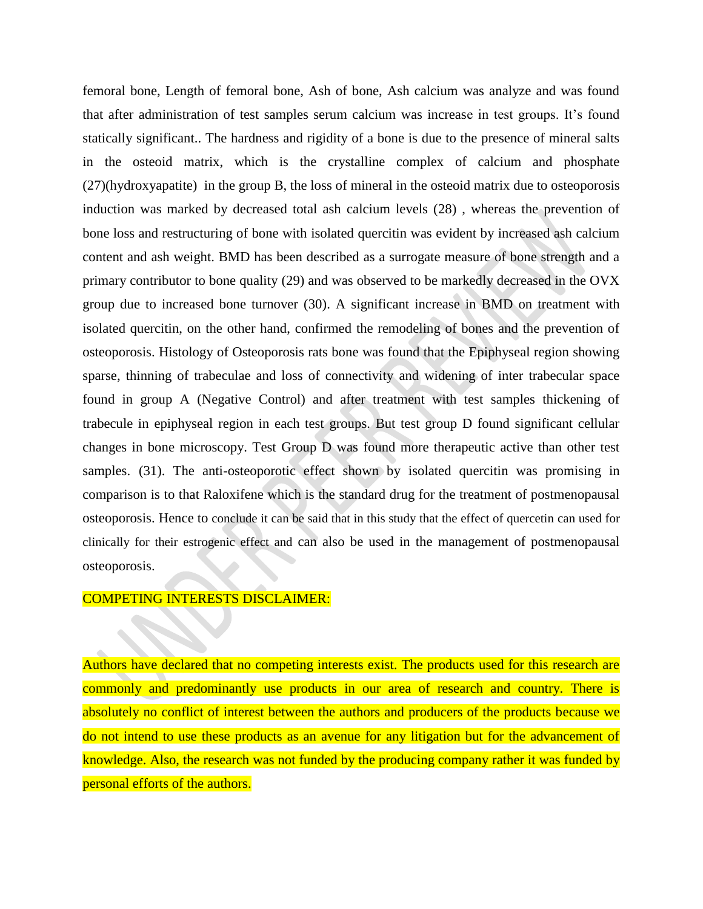femoral bone, Length of femoral bone, Ash of bone, Ash calcium was analyze and was found that after administration of test samples serum calcium was increase in test groups. It's found statically significant.. The hardness and rigidity of a bone is due to the presence of mineral salts in the osteoid matrix, which is the crystalline complex of calcium and phosphate (27)(hydroxyapatite) in the group B, the loss of mineral in the osteoid matrix due to osteoporosis induction was marked by decreased total ash calcium levels (28) , whereas the prevention of bone loss and restructuring of bone with isolated quercitin was evident by increased ash calcium content and ash weight. BMD has been described as a surrogate measure of bone strength and a primary contributor to bone quality (29) and was observed to be markedly decreased in the OVX group due to increased bone turnover (30). A significant increase in BMD on treatment with isolated quercitin, on the other hand, confirmed the remodeling of bones and the prevention of osteoporosis. Histology of Osteoporosis rats bone was found that the Epiphyseal region showing sparse, thinning of trabeculae and loss of connectivity and widening of inter trabecular space found in group A (Negative Control) and after treatment with test samples thickening of trabecule in epiphyseal region in each test groups. But test group D found significant cellular changes in bone microscopy. Test Group D was found more therapeutic active than other test samples. (31). The anti-osteoporotic effect shown by isolated quercitin was promising in comparison is to that Raloxifene which is the standard drug for the treatment of postmenopausal osteoporosis. Hence to conclude it can be said that in this study that the effect of quercetin can used for clinically for their estrogenic effect and can also be used in the management of postmenopausal osteoporosis.

#### COMPETING INTERESTS DISCLAIMER:

Authors have declared that no competing interests exist. The products used for this research are commonly and predominantly use products in our area of research and country. There is absolutely no conflict of interest between the authors and producers of the products because we do not intend to use these products as an avenue for any litigation but for the advancement of knowledge. Also, the research was not funded by the producing company rather it was funded by personal efforts of the authors.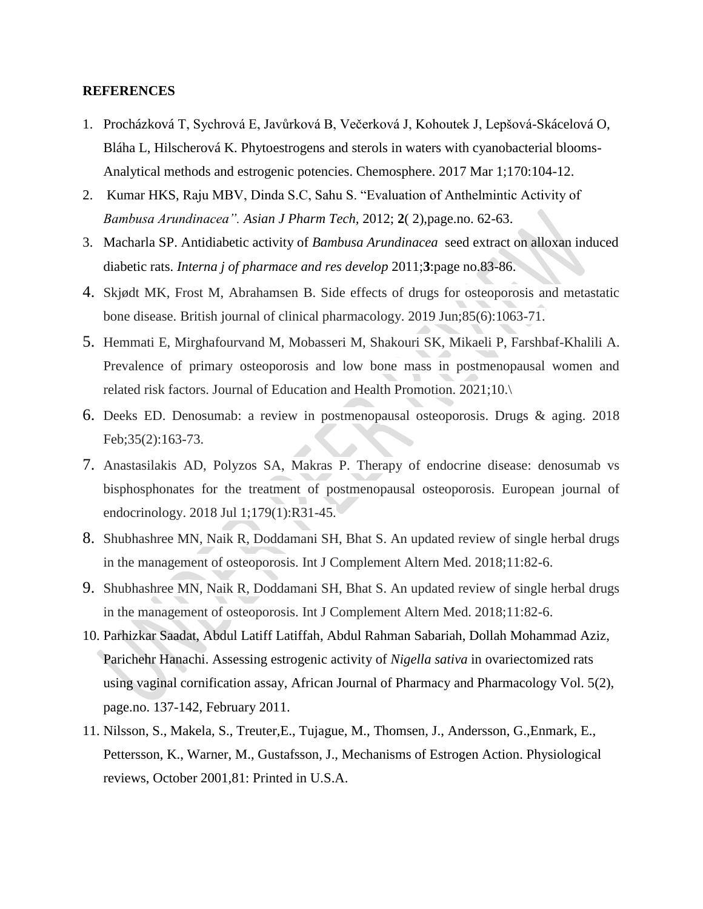#### **REFERENCES**

- 1. Procházková T, Sychrová E, Javůrková B, Večerková J, Kohoutek J, Lepšová-Skácelová O, Bláha L, Hilscherová K. Phytoestrogens and sterols in waters with cyanobacterial blooms-Analytical methods and estrogenic potencies. Chemosphere. 2017 Mar 1;170:104-12.
- 2. Kumar HKS, Raju MBV, Dinda S.C, Sahu S. "Evaluation of Anthelmintic Activity of *Bambusa Arundinacea". Asian J Pharm Tech,* 2012; **2**( 2),page.no. 62-63.
- 3. Macharla SP. Antidiabetic activity of *Bambusa Arundinacea* seed extract on alloxan induced diabetic rats. *Interna j of pharmace and res develop* 2011;**3**:page no.83-86.
- 4. Skjødt MK, Frost M, Abrahamsen B. Side effects of drugs for osteoporosis and metastatic bone disease. British journal of clinical pharmacology. 2019 Jun;85(6):1063-71.
- 5. Hemmati E, Mirghafourvand M, Mobasseri M, Shakouri SK, Mikaeli P, Farshbaf-Khalili A. Prevalence of primary osteoporosis and low bone mass in postmenopausal women and related risk factors. Journal of Education and Health Promotion. 2021;10.\
- 6. Deeks ED. Denosumab: a review in postmenopausal osteoporosis. Drugs & aging. 2018 Feb;35(2):163-73.
- 7. Anastasilakis AD, Polyzos SA, Makras P. Therapy of endocrine disease: denosumab vs bisphosphonates for the treatment of postmenopausal osteoporosis. European journal of endocrinology. 2018 Jul 1;179(1):R31-45.
- 8. Shubhashree MN, Naik R, Doddamani SH, Bhat S. An updated review of single herbal drugs in the management of osteoporosis. Int J Complement Altern Med. 2018;11:82-6.
- 9. Shubhashree MN, Naik R, Doddamani SH, Bhat S. An updated review of single herbal drugs in the management of osteoporosis. Int J Complement Altern Med. 2018;11:82-6.
- 10. Parhizkar Saadat, Abdul Latiff Latiffah, Abdul Rahman Sabariah, Dollah Mohammad Aziz, Parichehr Hanachi. Assessing estrogenic activity of *Nigella sativa* in ovariectomized rats using vaginal cornification assay, African Journal of Pharmacy and Pharmacology Vol. 5(2), page.no. 137-142, February 2011.
- 11. Nilsson, S., Makela, S., Treuter,E., Tujague, M., Thomsen, J., Andersson, G.,Enmark, E., Pettersson, K., Warner, M., Gustafsson, J., Mechanisms of Estrogen Action. Physiological reviews, October 2001,81: Printed in U.S.A.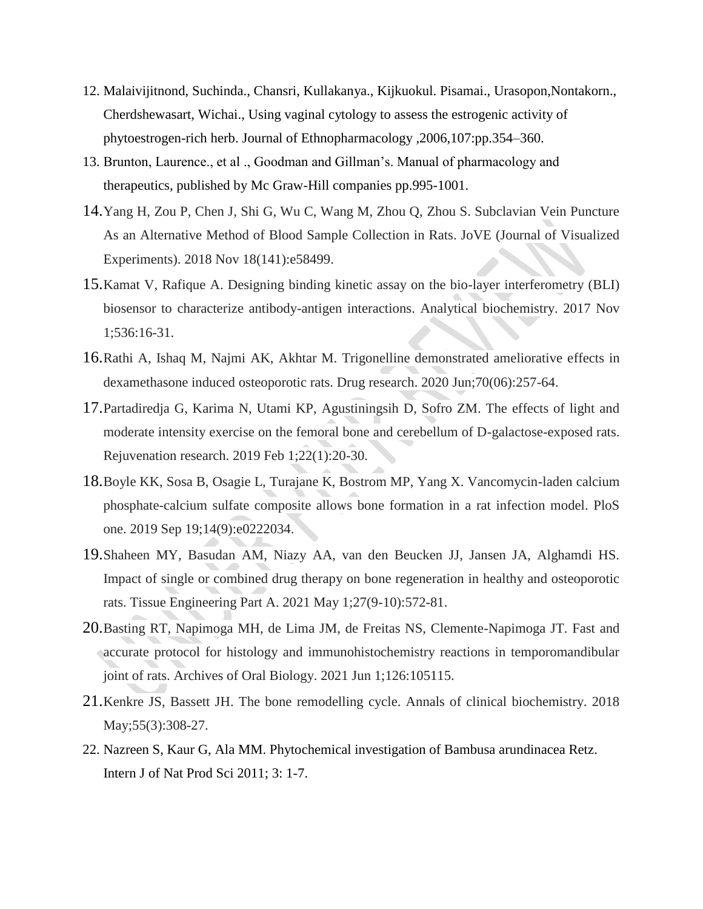- 12. Malaivijitnond, Suchinda., Chansri, Kullakanya., Kijkuokul. Pisamai., Urasopon,Nontakorn., Cherdshewasart, Wichai., Using vaginal cytology to assess the estrogenic activity of phytoestrogen-rich herb. Journal of Ethnopharmacology ,2006,107:pp.354–360.
- 13. Brunton, Laurence., et al ., Goodman and Gillman's. Manual of pharmacology and therapeutics, published by Mc Graw-Hill companies pp.995-1001.
- 14.Yang H, Zou P, Chen J, Shi G, Wu C, Wang M, Zhou Q, Zhou S. Subclavian Vein Puncture As an Alternative Method of Blood Sample Collection in Rats. JoVE (Journal of Visualized Experiments). 2018 Nov 18(141):e58499.
- 15.Kamat V, Rafique A. Designing binding kinetic assay on the bio-layer interferometry (BLI) biosensor to characterize antibody-antigen interactions. Analytical biochemistry. 2017 Nov 1;536:16-31.
- 16.Rathi A, Ishaq M, Najmi AK, Akhtar M. Trigonelline demonstrated ameliorative effects in dexamethasone induced osteoporotic rats. Drug research. 2020 Jun;70(06):257-64.
- 17.Partadiredja G, Karima N, Utami KP, Agustiningsih D, Sofro ZM. The effects of light and moderate intensity exercise on the femoral bone and cerebellum of D-galactose-exposed rats. Rejuvenation research. 2019 Feb 1;22(1):20-30.
- 18.Boyle KK, Sosa B, Osagie L, Turajane K, Bostrom MP, Yang X. Vancomycin-laden calcium phosphate-calcium sulfate composite allows bone formation in a rat infection model. PloS one. 2019 Sep 19;14(9):e0222034.
- 19.Shaheen MY, Basudan AM, Niazy AA, van den Beucken JJ, Jansen JA, Alghamdi HS. Impact of single or combined drug therapy on bone regeneration in healthy and osteoporotic rats. Tissue Engineering Part A. 2021 May 1;27(9-10):572-81.
- 20.Basting RT, Napimoga MH, de Lima JM, de Freitas NS, Clemente-Napimoga JT. Fast and accurate protocol for histology and immunohistochemistry reactions in temporomandibular joint of rats. Archives of Oral Biology. 2021 Jun 1;126:105115.
- 21.Kenkre JS, Bassett JH. The bone remodelling cycle. Annals of clinical biochemistry. 2018 May; 55(3): 308-27.
- 22. Nazreen S, Kaur G, Ala MM. Phytochemical investigation of Bambusa arundinacea Retz. Intern J of Nat Prod Sci 2011; 3: 1-7.